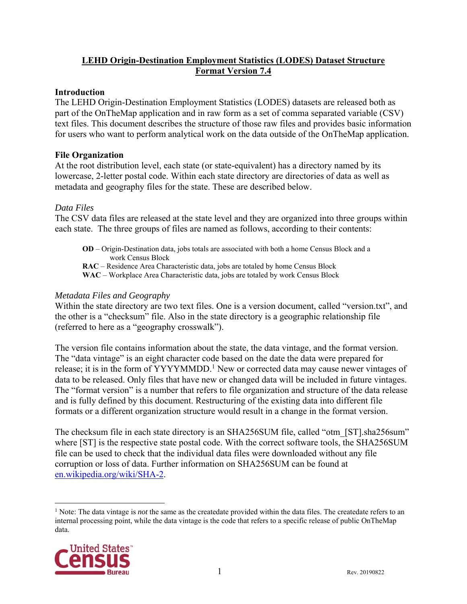# **LEHD Origin-Destination Employment Statistics (LODES) Dataset Structure Format Version 7.4**

#### **Introduction**

The LEHD Origin-Destination Employment Statistics (LODES) datasets are released both as part of the OnTheMap application and in raw form as a set of comma separated variable (CSV) text files. This document describes the structure of those raw files and provides basic information for users who want to perform analytical work on the data outside of the OnTheMap application.

#### **File Organization**

At the root distribution level, each state (or state-equivalent) has a directory named by its lowercase, 2-letter postal code. Within each state directory are directories of data as well as metadata and geography files for the state. These are described below.

#### *Data Files*

The CSV data files are released at the state level and they are organized into three groups within each state. The three groups of files are named as follows, according to their contents:

**OD** – Origin-Destination data, jobs totals are associated with both a home Census Block and a work Census Block **RAC** – Residence Area Characteristic data, jobs are totaled by home Census Block **WAC** – Workplace Area Characteristic data, jobs are totaled by work Census Block

# *Metadata Files and Geography*

Within the state directory are two text files. One is a version document, called "version.txt", and the other is a "checksum" file. Also in the state directory is a geographic relationship file (referred to here as a "geography crosswalk").

The version file contains information about the state, the data vintage, and the format version. The "data vintage" is an eight character code based on the date the data were prepared for release; it is in the form of YYYYMMDD.<sup>1</sup> New or corrected data may cause newer vintages of data to be released. Only files that have new or changed data will be included in future vintages. The "format version" is a number that refers to file organization and structure of the data release and is fully defined by this document. Restructuring of the existing data into different file formats or a different organization structure would result in a change in the format version.

The checksum file in each state directory is an SHA256SUM file, called "otm [ST].sha256sum" where [ST] is the respective state postal code. With the correct software tools, the SHA256SUM file can be used to check that the individual data files were downloaded without any file corruption or loss of data. Further information on SHA256SUM can be found at en.wikipedia.org/wiki/SHA-2.

<sup>&</sup>lt;sup>1</sup> Note: The data vintage is *not* the same as the createdate provided within the data files. The createdate refers to an internal processing point, while the data vintage is the code that refers to a specific release of public OnTheMap data.

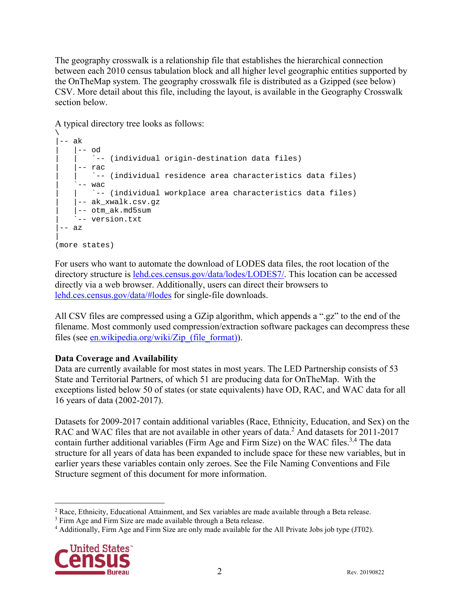The geography crosswalk is a relationship file that establishes the hierarchical connection between each 2010 census tabulation block and all higher level geographic entities supported by the OnTheMap system. The geography crosswalk file is distributed as a Gzipped (see below) CSV. More detail about this file, including the layout, is available in the Geography Crosswalk section below.

A typical directory tree looks as follows:

```
\setminus|-- ak
    | -- \circ d| | `-- (individual origin-destination data files) 
     | |-- rac 
        | | `-- (individual residence area characteristics data files) 
     -- wac
         -- (individual workplace area characteristics data files)
     -- ak_xwalk.csv.gz
     | |-- otm_ak.md5sum 
     -- version.txt
-- az
| 
(more states)
```
For users who want to automate the download of LODES data files, the root location of the directory structure is lehd.ces.census.gov/data/lodes/LODES7/. This location can be accessed directly via a web browser. Additionally, users can direct their browsers to lehd.ces.census.gov/data/#lodes for single-file downloads.

All CSV files are compressed using a GZip algorithm, which appends a ".gz" to the end of the filename. Most commonly used compression/extraction software packages can decompress these files (see en.wikipedia.org/wiki/Zip (file format)).

# **Data Coverage and Availability**

Data are currently available for most states in most years. The LED Partnership consists of 53 State and Territorial Partners, of which 51 are producing data for OnTheMap. With the exceptions listed below 50 of states (or state equivalents) have OD, RAC, and WAC data for all 16 years of data (2002-2017).

Datasets for 2009-2017 contain additional variables (Race, Ethnicity, Education, and Sex) on the RAC and WAC files that are not available in other years of data.<sup>2</sup> And datasets for 2011-2017 contain further additional variables (Firm Age and Firm Size) on the WAC files.<sup>3,4</sup> The data structure for all years of data has been expanded to include space for these new variables, but in earlier years these variables contain only zeroes. See the File Naming Conventions and File Structure segment of this document for more information.

Additionally, Firm Age and Firm Size are only made available for the All Private Jobs job type (JT02).



 $\overline{a}$  $2$  Race, Ethnicity, Educational Attainment, and Sex variables are made available through a Beta release.

<sup>&</sup>lt;sup>3</sup> Firm Age and Firm Size are made available through a Beta release.<br><sup>4</sup> Additionally, Firm Age and Firm Size are only made available for the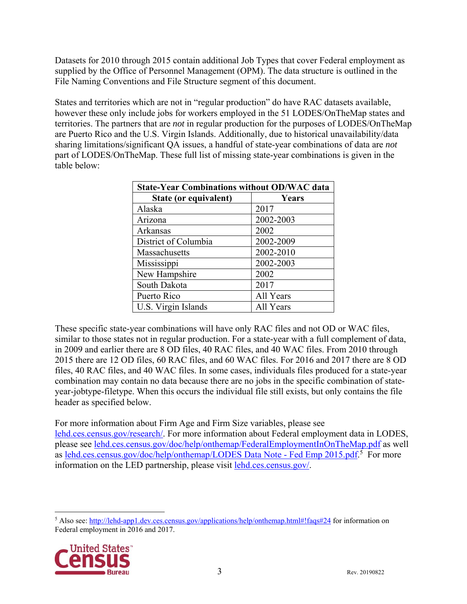Datasets for 2010 through 2015 contain additional Job Types that cover Federal employment as supplied by the Office of Personnel Management (OPM). The data structure is outlined in the File Naming Conventions and File Structure segment of this document.

States and territories which are not in "regular production" do have RAC datasets available, however these only include jobs for workers employed in the 51 LODES/OnTheMap states and territories. The partners that are *not* in regular production for the purposes of LODES/OnTheMap are Puerto Rico and the U.S. Virgin Islands. Additionally, due to historical unavailability/data sharing limitations/significant QA issues, a handful of state-year combinations of data are *not* part of LODES/OnTheMap. These full list of missing state-year combinations is given in the table below:

| <b>State-Year Combinations without OD/WAC data</b> |           |  |  |
|----------------------------------------------------|-----------|--|--|
| State (or equivalent)                              | Years     |  |  |
| Alaska                                             | 2017      |  |  |
| Arizona                                            | 2002-2003 |  |  |
| Arkansas                                           | 2002      |  |  |
| District of Columbia                               | 2002-2009 |  |  |
| Massachusetts                                      | 2002-2010 |  |  |
| Mississippi                                        | 2002-2003 |  |  |
| New Hampshire                                      | 2002      |  |  |
| South Dakota                                       | 2017      |  |  |
| Puerto Rico                                        | All Years |  |  |
| U.S. Virgin Islands                                | All Years |  |  |

These specific state-year combinations will have only RAC files and not OD or WAC files, similar to those states not in regular production. For a state-year with a full complement of data, in 2009 and earlier there are 8 OD files, 40 RAC files, and 40 WAC files. From 2010 through 2015 there are 12 OD files, 60 RAC files, and 60 WAC files. For 2016 and 2017 there are 8 OD files, 40 RAC files, and 40 WAC files. In some cases, individuals files produced for a state-year combination may contain no data because there are no jobs in the specific combination of stateyear-jobtype-filetype. When this occurs the individual file still exists, but only contains the file header as specified below.

For more information about Firm Age and Firm Size variables, please see lehd.ces.census.gov/research/. For more information about Federal employment data in LODES, please see lehd.ces.census.gov/doc/help/onthemap/FederalEmploymentInOnTheMap.pdf as well as lehd.ces.census.gov/doc/help/onthemap/LODES Data Note - Fed Emp 2015.pdf.<sup>5</sup> For more information on the LED partnership, please visit lehd.ces.census.gov/.

<sup>&</sup>lt;sup>5</sup> Also see: http://lehd-app1.dev.ces.census.gov/applications/help/onthemap.html#!faqs#24 for information on Federal employment in 2016 and 2017.

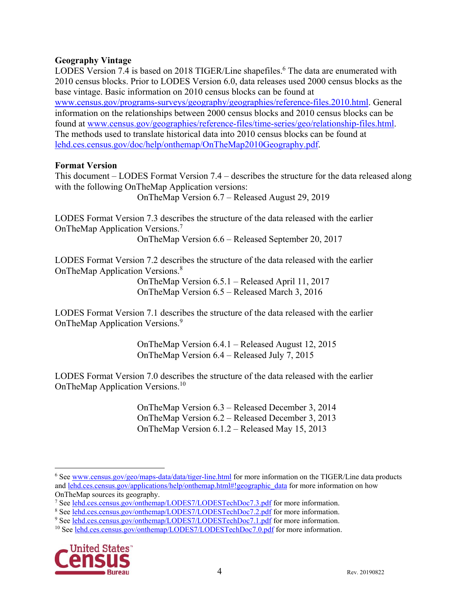# **Geography Vintage**

LODES Version 7.4 is based on 2018 TIGER/Line shapefiles.<sup>6</sup> The data are enumerated with 2010 census blocks. Prior to LODES Version 6.0, data releases used 2000 census blocks as the base vintage. Basic information on 2010 census blocks can be found at www.census.gov/programs-surveys/geography/geographies/reference-files.2010.html. General information on the relationships between 2000 census blocks and 2010 census blocks can be found at www.census.gov/geographies/reference-files/time-series/geo/relationship-files.html. The methods used to translate historical data into 2010 census blocks can be found at lehd.ces.census.gov/doc/help/onthemap/OnTheMap2010Geography.pdf.

# **Format Version**

This document – LODES Format Version 7.4 – describes the structure for the data released along with the following OnTheMap Application versions:

OnTheMap Version 6.7 – Released August 29, 2019

LODES Format Version 7.3 describes the structure of the data released with the earlier OnTheMap Application Versions.7

OnTheMap Version 6.6 – Released September 20, 2017

LODES Format Version 7.2 describes the structure of the data released with the earlier OnTheMap Application Versions.8

> OnTheMap Version 6.5.1 – Released April 11, 2017 OnTheMap Version 6.5 – Released March 3, 2016

LODES Format Version 7.1 describes the structure of the data released with the earlier OnTheMap Application Versions.9

> OnTheMap Version 6.4.1 – Released August 12, 2015 OnTheMap Version 6.4 – Released July 7, 2015

LODES Format Version 7.0 describes the structure of the data released with the earlier OnTheMap Application Versions.10

> OnTheMap Version 6.3 – Released December 3, 2014 OnTheMap Version 6.2 – Released December 3, 2013 OnTheMap Version 6.1.2 – Released May 15, 2013

<sup>&</sup>lt;sup>10</sup> See lehd.ces.census.gov/onthemap/LODES7/LODESTechDoc7.0.pdf for more information.



 $\overline{a}$ <sup>6</sup> See www.census.gov/geo/maps-data/data/tiger-line.html for more information on the TIGER/Line data products and lehd.ces.census.gov/applications/help/onthemap.html#!geographic\_data for more information on how OnTheMap sources its geography.

<sup>&</sup>lt;sup>7</sup> See lehd.ces.census.gov/onthemap/LODES7/LODESTechDoc7.3.pdf for more information.

<sup>&</sup>lt;sup>8</sup> See lehd.ces.census.gov/onthemap/LODES7/LODESTechDoc7.2.pdf for more information.

<sup>&</sup>lt;sup>9</sup> See lehd.ces.census.gov/onthemap/LODES7/LODESTechDoc7.1.pdf for more information.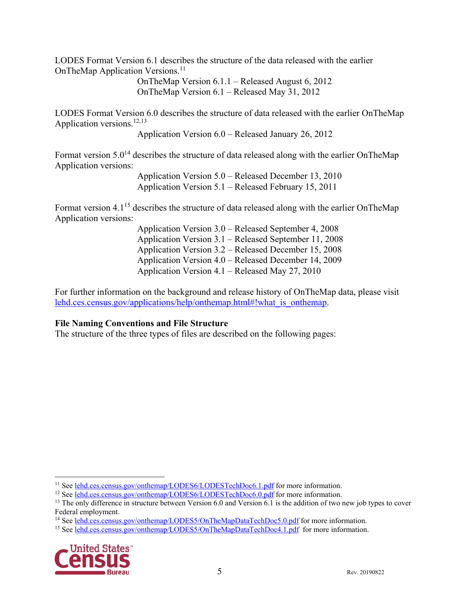LODES Format Version 6.1 describes the structure of the data released with the earlier OnTheMap Application Versions.<sup>11</sup>

> OnTheMap Version 6.1.1 – Released August 6, 2012 OnTheMap Version 6.1 – Released May 31, 2012

LODES Format Version 6.0 describes the structure of data released with the earlier OnTheMap Application versions.<sup>12,13</sup>

Application Version 6.0 – Released January 26, 2012

Format version  $5.0^{14}$  describes the structure of data released along with the earlier OnTheMap Application versions:

> Application Version 5.0 – Released December 13, 2010 Application Version 5.1 – Released February 15, 2011

Format version 4.1<sup>15</sup> describes the structure of data released along with the earlier OnTheMap Application versions:

Application Version 3.0 – Released September 4, 2008 Application Version 3.1 – Released September 11, 2008 Application Version 3.2 – Released December 15, 2008 Application Version 4.0 – Released December 14, 2009 Application Version 4.1 – Released May 27, 2010

For further information on the background and release history of OnTheMap data, please visit lehd.ces.census.gov/applications/help/onthemap.html#!what is onthemap.

# **File Naming Conventions and File Structure**

The structure of the three types of files are described on the following pages:

<sup>14</sup> See lehd.ces.census.gov/onthemap/LODES5/OnTheMapDataTechDoc5.0.pdf for more information.

<sup>&</sup>lt;sup>15</sup> See lehd.ces.census.gov/onthemap/LODES5/OnTheMapDataTechDoc4.1.pdf for more information.



<sup>&</sup>lt;sup>11</sup> See lehd.ces.census.gov/onthemap/LODES6/LODESTechDoc6.1.pdf for more information.

<sup>&</sup>lt;sup>12</sup> See lehd.ces.census.gov/onthemap/LODES6/LODESTechDoc6.0.pdf for more information.

<sup>&</sup>lt;sup>13</sup> The only difference in structure between Version 6.0 and Version 6.1 is the addition of two new job types to cover Federal employment.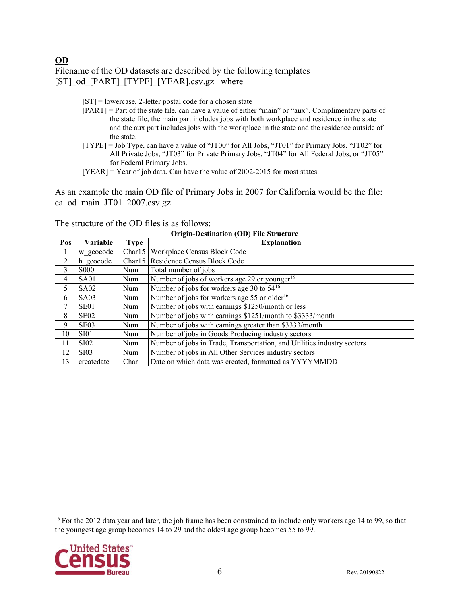**OD** 

Filename of the OD datasets are described by the following templates [ST]\_od\_[PART]\_[TYPE]\_[YEAR].csv.gz where

- [ST] = lowercase, 2-letter postal code for a chosen state
- [PART] = Part of the state file, can have a value of either "main" or "aux". Complimentary parts of the state file, the main part includes jobs with both workplace and residence in the state and the aux part includes jobs with the workplace in the state and the residence outside of the state.
- [TYPE] = Job Type, can have a value of "JT00" for All Jobs, "JT01" for Primary Jobs, "JT02" for All Private Jobs, "JT03" for Private Primary Jobs, "JT04" for All Federal Jobs, or "JT05" for Federal Primary Jobs.
- [YEAR] = Year of job data. Can have the value of 2002-2015 for most states.

As an example the main OD file of Primary Jobs in 2007 for California would be the file: ca\_od\_main\_JT01\_2007.csv.gz

| <b>Origin-Destination (OD) File Structure</b> |                   |             |                                                                         |
|-----------------------------------------------|-------------------|-------------|-------------------------------------------------------------------------|
| Pos                                           | <b>Variable</b>   | <b>Type</b> | <b>Explanation</b>                                                      |
|                                               | w geocode         |             | Charl 5   Workplace Census Block Code                                   |
| 2                                             | h geocode         |             | Charl 5   Residence Census Block Code                                   |
| 3                                             | <b>S000</b>       | Num         | Total number of jobs                                                    |
| 4                                             | SA01              | Num         | Number of jobs of workers age 29 or younger <sup>16</sup>               |
| 5                                             | SA02              | Num         | Number of jobs for workers age 30 to 54 <sup>16</sup>                   |
| 6                                             | SA03              | Num         | Number of jobs for workers age 55 or older <sup>16</sup>                |
| 7                                             | SE <sub>01</sub>  | Num         | Number of jobs with earnings \$1250/month or less                       |
| 8                                             | SE <sub>02</sub>  | Num         | Number of jobs with earnings \$1251/month to \$3333/month               |
| 9                                             | SE <sub>0</sub> 3 | Num         | Number of jobs with earnings greater than \$3333/month                  |
| 10                                            | SI01              | Num         | Number of jobs in Goods Producing industry sectors                      |
| 11                                            | <b>SI02</b>       | Num         | Number of jobs in Trade, Transportation, and Utilities industry sectors |
| 12                                            | <b>SI03</b>       | Num         | Number of jobs in All Other Services industry sectors                   |
| 13                                            | createdate        | Char        | Date on which data was created, formatted as YYYYMMDD                   |

The structure of the OD files is as follows:

<sup>&</sup>lt;sup>16</sup> For the 2012 data year and later, the job frame has been constrained to include only workers age 14 to 99, so that the youngest age group becomes 14 to 29 and the oldest age group becomes 55 to 99.

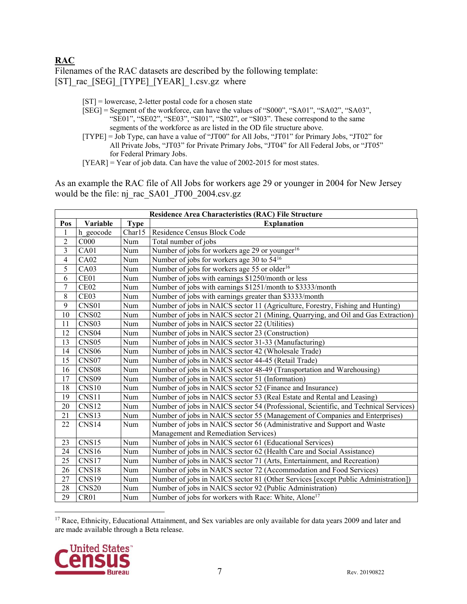# **RAC**

Filenames of the RAC datasets are described by the following template: [ST] rac [SEG] [TYPE] [YEAR] 1.csv.gz where

- [ST] = lowercase, 2-letter postal code for a chosen state
- [SEG] = Segment of the workforce, can have the values of "S000", "SA01", "SA02", "SA03", "SE01", "SE02", "SE03", "SI01", "SI02", or "SI03". These correspond to the same segments of the workforce as are listed in the OD file structure above.
- [TYPE] = Job Type, can have a value of "JT00" for All Jobs, "JT01" for Primary Jobs, "JT02" for All Private Jobs, "JT03" for Private Primary Jobs, "JT04" for All Federal Jobs, or "JT05" for Federal Primary Jobs.
- $[YEAR] = Year of job data. Can have the value of 2002-2015 for most states.$

As an example the RAC file of All Jobs for workers age 29 or younger in 2004 for New Jersey would be the file: nj\_rac\_SA01\_JT00\_2004.csv.gz

|                | <b>Residence Area Characteristics (RAC) File Structure</b> |              |                                                                                      |  |
|----------------|------------------------------------------------------------|--------------|--------------------------------------------------------------------------------------|--|
| Pos            | Variable                                                   | <b>Type</b>  | <b>Explanation</b>                                                                   |  |
| 1              | h geocode                                                  | Char15       | Residence Census Block Code                                                          |  |
| $\overline{c}$ | C000                                                       | Num          | Total number of jobs                                                                 |  |
| $\overline{3}$ | CA01                                                       | Num          | Number of jobs for workers age 29 or younger <sup>16</sup>                           |  |
| 4              | CA02                                                       | Num          | Number of jobs for workers age 30 to 54 <sup>16</sup>                                |  |
| 5              | CA03                                                       | Num          | Number of jobs for workers age 55 or older <sup>16</sup>                             |  |
| 6              | CE01                                                       | Num          | Number of jobs with earnings \$1250/month or less                                    |  |
| $\overline{7}$ | CE <sub>02</sub>                                           | Num          | Number of jobs with earnings \$1251/month to \$3333/month                            |  |
| 8              | CE <sub>03</sub>                                           | Num          | Number of jobs with earnings greater than \$3333/month                               |  |
| $\mathbf{9}$   | CNS01                                                      | $\mbox{Num}$ | Number of jobs in NAICS sector 11 (Agriculture, Forestry, Fishing and Hunting)       |  |
| 10             | CNS <sub>02</sub>                                          | Num          | Number of jobs in NAICS sector 21 (Mining, Quarrying, and Oil and Gas Extraction)    |  |
| 11             | CNS <sub>03</sub>                                          | Num          | Number of jobs in NAICS sector 22 (Utilities)                                        |  |
| 12             | CNS <sub>04</sub>                                          | Num          | Number of jobs in NAICS sector 23 (Construction)                                     |  |
| 13             | CNS <sub>05</sub>                                          | Num          | Number of jobs in NAICS sector 31-33 (Manufacturing)                                 |  |
| 14             | CNS <sub>06</sub>                                          | Num          | Number of jobs in NAICS sector 42 (Wholesale Trade)                                  |  |
| 15             | CNS <sub>07</sub>                                          | Num          | Number of jobs in NAICS sector 44-45 (Retail Trade)                                  |  |
| 16             | CNS <sub>08</sub>                                          | Num          | Number of jobs in NAICS sector 48-49 (Transportation and Warehousing)                |  |
| 17             | CNS <sub>09</sub>                                          | Num          | Number of jobs in NAICS sector 51 (Information)                                      |  |
| 18             | CNS10                                                      | Num          | Number of jobs in NAICS sector 52 (Finance and Insurance)                            |  |
| 19             | CNS11                                                      | Num          | Number of jobs in NAICS sector 53 (Real Estate and Rental and Leasing)               |  |
| 20             | CNS12                                                      | Num          | Number of jobs in NAICS sector 54 (Professional, Scientific, and Technical Services) |  |
| 21             | CNS13                                                      | Num          | Number of jobs in NAICS sector 55 (Management of Companies and Enterprises)          |  |
| 22             | CNS14                                                      | Num          | Number of jobs in NAICS sector 56 (Administrative and Support and Waste              |  |
|                |                                                            |              | Management and Remediation Services)                                                 |  |
| 23             | CNS15                                                      | Num          | Number of jobs in NAICS sector 61 (Educational Services)                             |  |
| 24             | CNS16                                                      | Num          | Number of jobs in NAICS sector 62 (Health Care and Social Assistance)                |  |
| 25             | CNS17                                                      | Num          | Number of jobs in NAICS sector 71 (Arts, Entertainment, and Recreation)              |  |
| 26             | CNS18                                                      | Num          | Number of jobs in NAICS sector 72 (Accommodation and Food Services)                  |  |
| 27             | CNS19                                                      | $\mbox{Num}$ | Number of jobs in NAICS sector 81 (Other Services [except Public Administration])    |  |
| 28             | CNS <sub>20</sub>                                          | Num          | Number of jobs in NAICS sector 92 (Public Administration)                            |  |
| 29             | CR <sub>01</sub>                                           | Num          | Number of jobs for workers with Race: White, Alone <sup>17</sup>                     |  |

 $\overline{a}$ <sup>17</sup> Race, Ethnicity, Educational Attainment, and Sex variables are only available for data years 2009 and later and are made available through a Beta release.

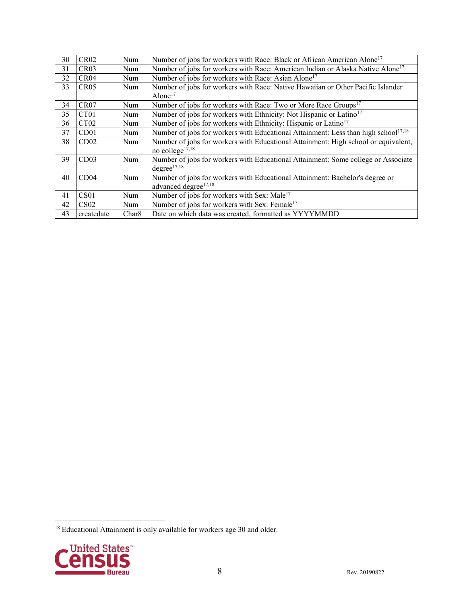| 30 | <b>CR02</b>      | <b>Num</b>        | Number of jobs for workers with Race: Black or African American Alone <sup>17</sup>            |
|----|------------------|-------------------|------------------------------------------------------------------------------------------------|
| 31 | CR <sub>03</sub> | Num               | Number of jobs for workers with Race: American Indian or Alaska Native Alone <sup>17</sup>     |
| 32 | CR <sub>04</sub> | Num               | Number of jobs for workers with Race: Asian Alone <sup>17</sup>                                |
| 33 | CR05             | Num               | Number of jobs for workers with Race: Native Hawaiian or Other Pacific Islander                |
|    |                  |                   | Alone $17$                                                                                     |
| 34 | CR07             | Num               | Number of jobs for workers with Race: Two or More Race Groups <sup>17</sup>                    |
| 35 | CT <sub>01</sub> | Num               | Number of jobs for workers with Ethnicity: Not Hispanic or Latino <sup>17</sup>                |
| 36 | CT <sub>02</sub> | Num               | Number of jobs for workers with Ethnicity: Hispanic or Latino <sup>17</sup>                    |
| 37 | CD01             | Num               | Number of jobs for workers with Educational Attainment: Less than high school <sup>17,18</sup> |
| 38 | CD <sub>02</sub> | Num               | Number of jobs for workers with Educational Attainment: High school or equivalent,             |
|    |                  |                   | no college $17,18$                                                                             |
| 39 | CD <sub>03</sub> | Num               | Number of jobs for workers with Educational Attainment: Some college or Associate              |
|    |                  |                   | degree <sup>17,18</sup>                                                                        |
| 40 | CD <sub>04</sub> | Num               | Number of jobs for workers with Educational Attainment: Bachelor's degree or                   |
|    |                  |                   | advanced degree <sup>17,18</sup>                                                               |
| 41 | CS01             | <b>Num</b>        | Number of jobs for workers with Sex: Male <sup>17</sup>                                        |
| 42 | CS <sub>02</sub> | Num               | Number of jobs for workers with Sex: Female <sup>17</sup>                                      |
| 43 | createdate       | Char <sub>8</sub> | Date on which data was created, formatted as YYYYMMDD                                          |

 $18$  Educational Attainment is only available for workers age 30 and older.

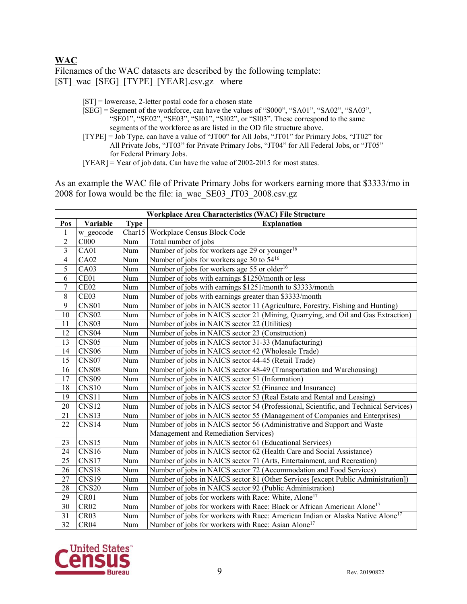#### **WAC**

Filenames of the WAC datasets are described by the following template: [ST]\_wac\_[SEG]\_[TYPE]\_[YEAR].csv.gz where

[ST] = lowercase, 2-letter postal code for a chosen state

- [SEG] = Segment of the workforce, can have the values of "S000", "SA01", "SA02", "SA03", "SE01", "SE02", "SE03", "SI01", "SI02", or "SI03". These correspond to the same segments of the workforce as are listed in the OD file structure above.
- [TYPE] = Job Type, can have a value of "JT00" for All Jobs, "JT01" for Primary Jobs, "JT02" for All Private Jobs, "JT03" for Private Primary Jobs, "JT04" for All Federal Jobs, or "JT05" for Federal Primary Jobs.

 $[YEAR] = Year of job data. Can have the value of 2002-2015 for most states.$ 

As an example the WAC file of Private Primary Jobs for workers earning more that \$3333/mo in 2008 for Iowa would be the file: ia\_wac\_SE03\_JT03\_2008.csv.gz

|                         | Workplace Area Characteristics (WAC) File Structure |              |                                                                                            |  |
|-------------------------|-----------------------------------------------------|--------------|--------------------------------------------------------------------------------------------|--|
| Pos                     | Variable                                            | <b>Type</b>  | <b>Explanation</b>                                                                         |  |
| 1                       | w geocode                                           |              | Charl 5   Workplace Census Block Code                                                      |  |
| $\overline{c}$          | C000                                                | Num          | Total number of jobs                                                                       |  |
| $\overline{\mathbf{3}}$ | CA01                                                | Num          | Number of jobs for workers age 29 or younger <sup>16</sup>                                 |  |
| $\overline{\mathbf{4}}$ | CA02                                                | Num          | Number of jobs for workers age 30 to 54 <sup>16</sup>                                      |  |
| 5                       | CA03                                                | Num          | Number of jobs for workers age 55 or older <sup>16</sup>                                   |  |
| $\overline{6}$          | CE01                                                | Num          | Number of jobs with earnings \$1250/month or less                                          |  |
| $\overline{7}$          | CE02                                                | Num          | Number of jobs with earnings \$1251/month to \$3333/month                                  |  |
| $\,8\,$                 | CE <sub>03</sub>                                    | Num          | Number of jobs with earnings greater than \$3333/month                                     |  |
| 9                       | CNS01                                               | Num          | Number of jobs in NAICS sector 11 (Agriculture, Forestry, Fishing and Hunting)             |  |
| 10                      | CNS <sub>02</sub>                                   | Num          | Number of jobs in NAICS sector 21 (Mining, Quarrying, and Oil and Gas Extraction)          |  |
| 11                      | CNS <sub>03</sub>                                   | Num          | Number of jobs in NAICS sector 22 (Utilities)                                              |  |
| 12                      | CNS <sub>04</sub>                                   | Num          | Number of jobs in NAICS sector 23 (Construction)                                           |  |
| 13                      | CNS <sub>05</sub>                                   | Num          | Number of jobs in NAICS sector 31-33 (Manufacturing)                                       |  |
| 14                      | CNS <sub>06</sub>                                   | Num          | Number of jobs in NAICS sector 42 (Wholesale Trade)                                        |  |
| 15                      | CNS07                                               | Num          | Number of jobs in NAICS sector 44-45 (Retail Trade)                                        |  |
| 16                      | CNS <sub>08</sub>                                   | $\mbox{Num}$ | Number of jobs in NAICS sector 48-49 (Transportation and Warehousing)                      |  |
| 17                      | CNS <sub>09</sub>                                   | Num          | Number of jobs in NAICS sector 51 (Information)                                            |  |
| 18                      | CNS10                                               | Num          | Number of jobs in NAICS sector 52 (Finance and Insurance)                                  |  |
| 19                      | CNS11                                               | Num          | Number of jobs in NAICS sector 53 (Real Estate and Rental and Leasing)                     |  |
| 20                      | CNS <sub>12</sub>                                   | Num          | Number of jobs in NAICS sector 54 (Professional, Scientific, and Technical Services)       |  |
| 21                      | CNS13                                               | Num          | Number of jobs in NAICS sector 55 (Management of Companies and Enterprises)                |  |
| 22                      | CNS14                                               | Num          | Number of jobs in NAICS sector 56 (Administrative and Support and Waste                    |  |
|                         |                                                     |              | Management and Remediation Services)                                                       |  |
| 23                      | CNS15                                               | Num          | Number of jobs in NAICS sector 61 (Educational Services)                                   |  |
| 24                      | CNS16                                               | Num          | Number of jobs in NAICS sector 62 (Health Care and Social Assistance)                      |  |
| 25                      | CNS17                                               | Num          | Number of jobs in NAICS sector 71 (Arts, Entertainment, and Recreation)                    |  |
| 26                      | CNS18                                               | Num          | Number of jobs in NAICS sector 72 (Accommodation and Food Services)                        |  |
| 27                      | CNS19                                               | Num          | Number of jobs in NAICS sector 81 (Other Services [except Public Administration])          |  |
| 28                      | CNS20                                               | Num          | Number of jobs in NAICS sector 92 (Public Administration)                                  |  |
| 29                      | CR01                                                | Num          | Number of jobs for workers with Race: White, Alone <sup>17</sup>                           |  |
| 30                      | CR02                                                | $\mbox{Num}$ | Number of jobs for workers with Race: Black or African American Alone <sup>17</sup>        |  |
| 31                      | CR <sub>03</sub>                                    | Num          | Number of jobs for workers with Race: American Indian or Alaska Native Alone <sup>17</sup> |  |
| $\overline{32}$         | CR <sub>04</sub>                                    | Num          | Number of jobs for workers with Race: Asian Alone <sup>17</sup>                            |  |

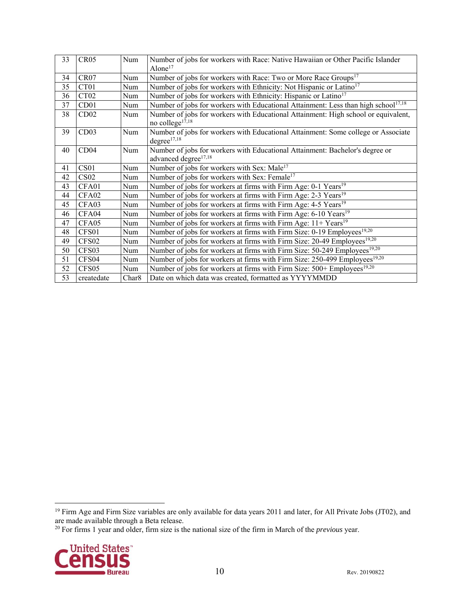| 33 | CR05              | Num               | Number of jobs for workers with Race: Native Hawaiian or Other Pacific Islander                |
|----|-------------------|-------------------|------------------------------------------------------------------------------------------------|
|    |                   |                   | Alone $17$                                                                                     |
| 34 | CR07              | Num               | Number of jobs for workers with Race: Two or More Race Groups <sup>17</sup>                    |
| 35 | CT01              | Num               | Number of jobs for workers with Ethnicity: Not Hispanic or Latino <sup>17</sup>                |
| 36 | CT <sub>02</sub>  | Num               | Number of jobs for workers with Ethnicity: Hispanic or Latino <sup>17</sup>                    |
| 37 | CD01              | Num               | Number of jobs for workers with Educational Attainment: Less than high school <sup>17,18</sup> |
| 38 | CD02              | Num               | Number of jobs for workers with Educational Attainment: High school or equivalent,             |
|    |                   |                   | no college <sup>17,18</sup>                                                                    |
| 39 | CD03              | Num               | Number of jobs for workers with Educational Attainment: Some college or Associate              |
|    |                   |                   | degree <sup>17,18</sup>                                                                        |
| 40 | CD04              | Num               | Number of jobs for workers with Educational Attainment: Bachelor's degree or                   |
|    |                   |                   | advanced degree <sup>17,18</sup>                                                               |
| 41 | CS <sub>01</sub>  | Num               | Number of jobs for workers with Sex: Male <sup>17</sup>                                        |
| 42 | CS <sub>02</sub>  | Num               | Number of jobs for workers with Sex: Female <sup>17</sup>                                      |
| 43 | CFA01             | Num               | Number of jobs for workers at firms with Firm Age: 0-1 Years <sup>19</sup>                     |
| 44 | CFA02             | Num               | Number of jobs for workers at firms with Firm Age: 2-3 Years <sup>19</sup>                     |
| 45 | CFA03             | Num               | Number of jobs for workers at firms with Firm Age: $4-5 \text{ Years}^{19}$                    |
| 46 | CFA04             | Num               | Number of jobs for workers at firms with Firm Age: 6-10 Years <sup>19</sup>                    |
| 47 | CFA05             | Num               | Number of jobs for workers at firms with Firm Age: $11 + Years19$                              |
| 48 | CFS01             | Num               | Number of jobs for workers at firms with Firm Size: 0-19 Employees <sup>19,20</sup>            |
| 49 | CFS <sub>02</sub> | Num               | Number of jobs for workers at firms with Firm Size: 20-49 Employees <sup>19,20</sup>           |
| 50 | CFS03             | Num               | Number of jobs for workers at firms with Firm Size: 50-249 Employees <sup>19,20</sup>          |
| 51 | CFS <sub>04</sub> | Num               | Number of jobs for workers at firms with Firm Size: 250-499 Employees <sup>19,20</sup>         |
| 52 | CFS <sub>05</sub> | Num               | Number of jobs for workers at firms with Firm Size: 500+ Employees <sup>19,20</sup>            |
| 53 | createdate        | Char <sub>8</sub> | Date on which data was created, formatted as YYYYMMDD                                          |

<sup>20</sup> For firms 1 year and older, firm size is the national size of the firm in March of the *previous* year.



<sup>&</sup>lt;sup>19</sup> Firm Age and Firm Size variables are only available for data years 2011 and later, for All Private Jobs (JT02), and are made available through a Beta release.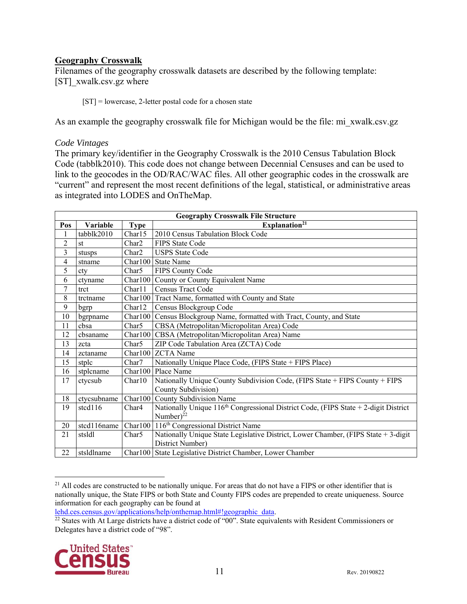# **Geography Crosswalk**

Filenames of the geography crosswalk datasets are described by the following template: [ST] xwalk.csv.gz where

[ST] = lowercase, 2-letter postal code for a chosen state

As an example the geography crosswalk file for Michigan would be the file: mi\_xwalk.csv.gz

#### *Code Vintages*

The primary key/identifier in the Geography Crosswalk is the 2010 Census Tabulation Block Code (tabblk2010). This code does not change between Decennial Censuses and can be used to link to the geocodes in the OD/RAC/WAC files. All other geographic codes in the crosswalk are "current" and represent the most recent definitions of the legal, statistical, or administrative areas as integrated into LODES and OnTheMap.

|                         | <b>Geography Crosswalk File Structure</b> |                   |                                                                                                    |  |
|-------------------------|-------------------------------------------|-------------------|----------------------------------------------------------------------------------------------------|--|
| Pos                     | Variable                                  | <b>Type</b>       | Explanation <sup>21</sup>                                                                          |  |
|                         | tabblk2010                                | Char15            | 2010 Census Tabulation Block Code                                                                  |  |
| $\overline{c}$          | st                                        | Char <sub>2</sub> | <b>FIPS State Code</b>                                                                             |  |
| $\overline{\mathbf{3}}$ | stusps                                    | Char2             | <b>USPS</b> State Code                                                                             |  |
| $\overline{4}$          | stname                                    |                   | Char100 State Name                                                                                 |  |
| 5                       | cty                                       | Char5             | FIPS County Code                                                                                   |  |
| 6                       | ctyname                                   | Char100           | County or County Equivalent Name                                                                   |  |
| 7                       | trct                                      | Char11            | Census Tract Code                                                                                  |  |
| 8                       | trctname                                  |                   | Char100 Tract Name, formatted with County and State                                                |  |
| 9                       | bgrp                                      | Char12            | Census Blockgroup Code                                                                             |  |
| 10                      | bgrpname                                  | Char100           | Census Blockgroup Name, formatted with Tract, County, and State                                    |  |
| 11                      | cbsa                                      | Char <sub>5</sub> | CBSA (Metropolitan/Micropolitan Area) Code                                                         |  |
| 12                      | cbsaname                                  | Char100           | CBSA (Metropolitan/Micropolitan Area) Name                                                         |  |
| 13                      | zcta                                      | Char5             | ZIP Code Tabulation Area (ZCTA) Code                                                               |  |
| 14                      | zctaname                                  | Char100           | <b>ZCTA</b> Name                                                                                   |  |
| 15                      | stplc                                     | Char7             | Nationally Unique Place Code, (FIPS State + FIPS Place)                                            |  |
| 16                      | stplcname                                 | Char100           | Place Name                                                                                         |  |
| 17                      | ctycsub                                   | Char10            | Nationally Unique County Subdivision Code, (FIPS State + FIPS County + FIPS<br>County Subdivision) |  |
| 18                      | ctycsubname                               | Char100           | County Subdivision Name                                                                            |  |
| 19                      | stcd116                                   | Char4             | Nationally Unique $116th$ Congressional District Code, (FIPS State + 2-digit District              |  |
|                         |                                           |                   | Number) $^{22}$                                                                                    |  |
| 20                      | stcd116name                               |                   | Charl 00   116 <sup>th</sup> Congressional District Name                                           |  |
| 21                      | stsldl                                    | Char5             | Nationally Unique State Legislative District, Lower Chamber, (FIPS State + 3-digit                 |  |
|                         |                                           |                   | District Number)                                                                                   |  |
| 22                      | stsldlname                                |                   | Charl00 State Legislative District Chamber, Lower Chamber                                          |  |

 $\overline{a}$  $^{21}$  All codes are constructed to be nationally unique. For areas that do not have a FIPS or other identifier that is nationally unique, the State FIPS or both State and County FIPS codes are prepended to create uniqueness. Source information for each geography can be found at

lehd.ces.census.gov/applications/help/onthemap.html#!geographic\_data.<br><sup>22</sup> States with At Large districts have a district code of "00". State equivalents with Resident Commissioners or Delegates have a district code of "98".